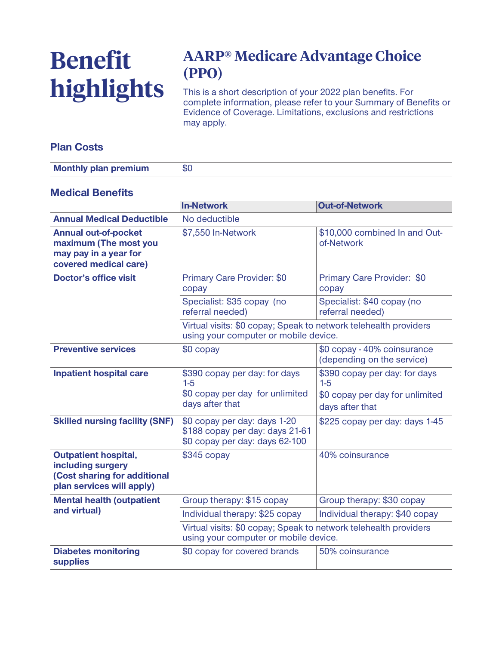# **Benefit highlights**

# **AARP® Medicare Advantage Choice (PPO)**

**This is a short description of your 2022 plan benefits. For complete information, please refer to your Summary of Benefits or Evidence of Coverage. Limitations, exclusions and restrictions may apply.**

#### **Plan Costs**

| <b>Monthly plan premium</b> | Φ١ |
|-----------------------------|----|

#### **Medical Benefits**

|                                                                                                               | <b>In-Network</b>                                                                                         | <b>Out-of-Network</b>                                                                        |
|---------------------------------------------------------------------------------------------------------------|-----------------------------------------------------------------------------------------------------------|----------------------------------------------------------------------------------------------|
| <b>Annual Medical Deductible</b>                                                                              | No deductible                                                                                             |                                                                                              |
| <b>Annual out-of-pocket</b><br>maximum (The most you<br>may pay in a year for<br>covered medical care)        | \$7,550 In-Network                                                                                        | \$10,000 combined In and Out-<br>of-Network                                                  |
| <b>Doctor's office visit</b>                                                                                  | Primary Care Provider: \$0<br>copay                                                                       | Primary Care Provider: \$0<br>copay                                                          |
|                                                                                                               | Specialist: \$35 copay (no<br>referral needed)                                                            | Specialist: \$40 copay (no<br>referral needed)                                               |
|                                                                                                               | Virtual visits: \$0 copay; Speak to network telehealth providers<br>using your computer or mobile device. |                                                                                              |
| <b>Preventive services</b>                                                                                    | \$0 copay                                                                                                 | \$0 copay - 40% coinsurance<br>(depending on the service)                                    |
| <b>Inpatient hospital care</b>                                                                                | \$390 copay per day: for days<br>$1-5$<br>\$0 copay per day for unlimited<br>days after that              | \$390 copay per day: for days<br>$1-5$<br>\$0 copay per day for unlimited<br>days after that |
| <b>Skilled nursing facility (SNF)</b>                                                                         | \$0 copay per day: days 1-20<br>\$188 copay per day: days 21-61<br>\$0 copay per day: days 62-100         | \$225 copay per day: days 1-45                                                               |
| <b>Outpatient hospital,</b><br>including surgery<br>(Cost sharing for additional<br>plan services will apply) | $$345$ copay                                                                                              | 40% coinsurance                                                                              |
| <b>Mental health (outpatient</b><br>and virtual)                                                              | Group therapy: \$15 copay                                                                                 | Group therapy: \$30 copay                                                                    |
|                                                                                                               | Individual therapy: \$25 copay                                                                            | Individual therapy: \$40 copay                                                               |
|                                                                                                               | Virtual visits: \$0 copay; Speak to network telehealth providers<br>using your computer or mobile device. |                                                                                              |
| <b>Diabetes monitoring</b><br><b>supplies</b>                                                                 | \$0 copay for covered brands                                                                              | 50% coinsurance                                                                              |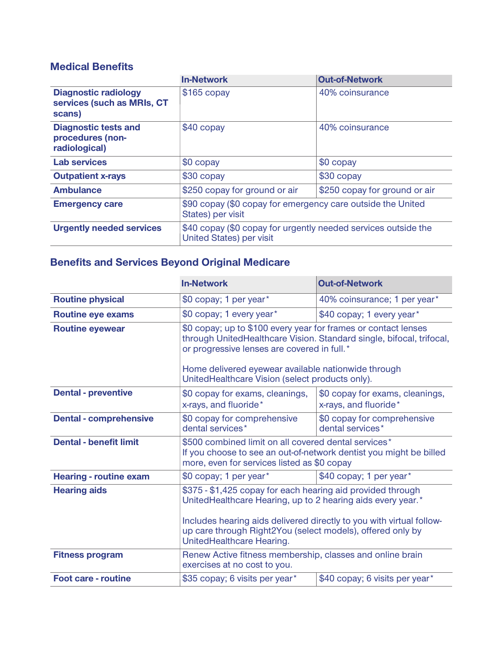#### **Medical Benefits**

|                                                                     | <b>In-Network</b>                                                                                 | <b>Out-of-Network</b>         |
|---------------------------------------------------------------------|---------------------------------------------------------------------------------------------------|-------------------------------|
| <b>Diagnostic radiology</b><br>services (such as MRIs, CT<br>scans) | $$165$ copay                                                                                      | 40% coinsurance               |
| <b>Diagnostic tests and</b><br>procedures (non-<br>radiological)    | \$40 copay                                                                                        | 40% coinsurance               |
| <b>Lab services</b>                                                 | $$0$ copay                                                                                        | \$0 copay                     |
| <b>Outpatient x-rays</b>                                            | \$30 copay                                                                                        | \$30 copay                    |
| <b>Ambulance</b>                                                    | \$250 copay for ground or air                                                                     | \$250 copay for ground or air |
| <b>Emergency care</b>                                               | \$90 copay (\$0 copay for emergency care outside the United<br>States) per visit                  |                               |
| <b>Urgently needed services</b>                                     | \$40 copay (\$0 copay for urgently needed services outside the<br><b>United States) per visit</b> |                               |

## **Benefits and Services Beyond Original Medicare**

|                               | <b>In-Network</b>                                                                                                                                                                                                                                                                             | <b>Out-of-Network</b>                                    |
|-------------------------------|-----------------------------------------------------------------------------------------------------------------------------------------------------------------------------------------------------------------------------------------------------------------------------------------------|----------------------------------------------------------|
| <b>Routine physical</b>       | \$0 copay; 1 per year*                                                                                                                                                                                                                                                                        | 40% coinsurance; 1 per year*                             |
| <b>Routine eye exams</b>      | \$0 copay; 1 every year*                                                                                                                                                                                                                                                                      | \$40 copay; 1 every year*                                |
| <b>Routine eyewear</b>        | \$0 copay; up to \$100 every year for frames or contact lenses<br>through UnitedHealthcare Vision. Standard single, bifocal, trifocal,<br>or progressive lenses are covered in full.*<br>Home delivered eyewear available nationwide through                                                  |                                                          |
|                               | UnitedHealthcare Vision (select products only).                                                                                                                                                                                                                                               |                                                          |
| <b>Dental - preventive</b>    | \$0 copay for exams, cleanings,<br>x-rays, and fluoride*                                                                                                                                                                                                                                      | \$0 copay for exams, cleanings,<br>x-rays, and fluoride* |
| <b>Dental - comprehensive</b> | \$0 copay for comprehensive<br>dental services*                                                                                                                                                                                                                                               | \$0 copay for comprehensive<br>dental services*          |
| <b>Dental - benefit limit</b> | \$500 combined limit on all covered dental services*<br>If you choose to see an out-of-network dentist you might be billed<br>more, even for services listed as \$0 copay                                                                                                                     |                                                          |
| <b>Hearing - routine exam</b> | \$0 copay; 1 per year*                                                                                                                                                                                                                                                                        | \$40 copay; 1 per year*                                  |
| <b>Hearing aids</b>           | \$375 - \$1,425 copay for each hearing aid provided through<br>UnitedHealthcare Hearing, up to 2 hearing aids every year.*<br>Includes hearing aids delivered directly to you with virtual follow-<br>up care through Right2You (select models), offered only by<br>UnitedHealthcare Hearing. |                                                          |
| <b>Fitness program</b>        | Renew Active fitness membership, classes and online brain                                                                                                                                                                                                                                     |                                                          |
|                               | exercises at no cost to you.                                                                                                                                                                                                                                                                  |                                                          |
| <b>Foot care - routine</b>    | \$35 copay; 6 visits per year*                                                                                                                                                                                                                                                                | \$40 copay; 6 visits per year*                           |